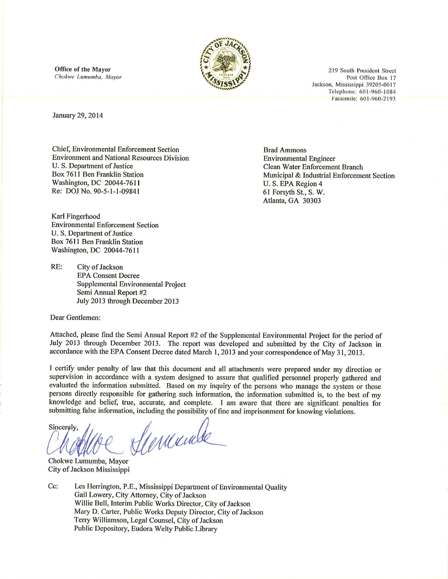Office of the Mayor Chokwe Lumumba, Mayor



219 South President Street Post Office Box 17 Jackson, Mississippi 39205-0017 Telephone: 601-960-1084 Facsimile: 601-960-2193

January 29, 2014

**Chief, Environmental Enforcement Section Environment and National Resources Division** U. S. Department of Justice Box 7611 Ben Franklin Station Washington, DC 20044-7611 Re: DOJ No. 90-5-1-1-09841

Karl Fingerhood **Environmental Enforcement Section** U. S. Department of Justice Box 7611 Ben Franklin Station Washington, DC 20044-7611

 $RE:$ City of Jackson **EPA Consent Decree** Supplemental Environmental Project Semi Annual Report #2 July 2013 through December 2013

Dear Gentlemen:

**Environmental Engineer Clean Water Enforcement Branch** Municipal & Industrial Enforcement Section U.S. EPA Region 4 61 Forsyth St., S. W. Atlanta, GA 30303

**Brad Ammons** 

Attached, please find the Semi Annual Report #2 of the Supplemental Environmental Project for the period of July 2013 through December 2013. The report was developed and submitted by the City of Jackson in accordance with the EPA Consent Decree dated March 1, 2013 and your correspondence of May 31, 2013.

I certify under penalty of law that this document and all attachments were prepared under my direction or supervision in accordance with a system designed to assure that qualified personnel properly gathered and evaluated the information submitted. Based on my inquiry of the persons who manage the system or those persons directly responsible for gathering such information, the information submitted is, to the best of my knowledge and belief, true, accurate, and complete. I am aware that there are significant penalties for submitting false information, including the possibility of fine and imprisonment for knowing violations.

Verunde Sincerely.

Chokwe Lumumba, Mayor City of Jackson Mississippi

Cc: Les Herrington, P.E., Mississippi Department of Environmental Quality Gail Lowery, City Attorney, City of Jackson Willie Bell, Interim Public Works Director, City of Jackson Mary D. Carter, Public Works Deputy Director, City of Jackson Terry Williamson, Legal Counsel, City of Jackson Public Depository, Eudora Welty Public Library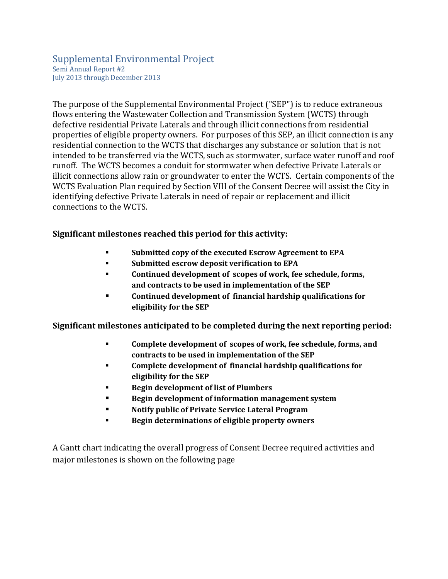## Supplemental Environmental Project Semi Annual Report #2 July 2013 through December 2013

The purpose of the Supplemental Environmental Project ("SEP") is to reduce extraneous flows entering the Wastewater Collection and Transmission System (WCTS) through defective residential Private Laterals and through illicit connections from residential properties of eligible property owners. For purposes of this SEP, an illicit connection is any residential connection to the WCTS that discharges any substance or solution that is not intended to be transferred via the WCTS, such as stormwater, surface water runoff and roof runoff. The WCTS becomes a conduit for stormwater when defective Private Laterals or illicit connections allow rain or groundwater to enter the WCTS. Certain components of the WCTS Evaluation Plan required by Section VIII of the Consent Decree will assist the City in identifying defective Private Laterals in need of repair or replacement and illicit connections to the WCTS.

## **Significant milestones reached this period for this activity:**

- **Submitted copy of the executed Escrow Agreement to EPA**
- **Submitted escrow deposit verification to EPA**
- **Continued development of scopes of work, fee schedule, forms, and contracts to be used in implementation of the SEP**
- **Continued development of financial hardship qualifications for eligibility for the SEP**

**Significant milestones anticipated to be completed during the next reporting period:**

- **Complete development of scopes of work, fee schedule, forms, and contracts to be used in implementation of the SEP**
- **Complete development of financial hardship qualifications for eligibility for the SEP**
- **Begin development of list of Plumbers**
- **Begin development of information management system**
- **Notify public of Private Service Lateral Program**
- **Begin determinations of eligible property owners**

A Gantt chart indicating the overall progress of Consent Decree required activities and major milestones is shown on the following page